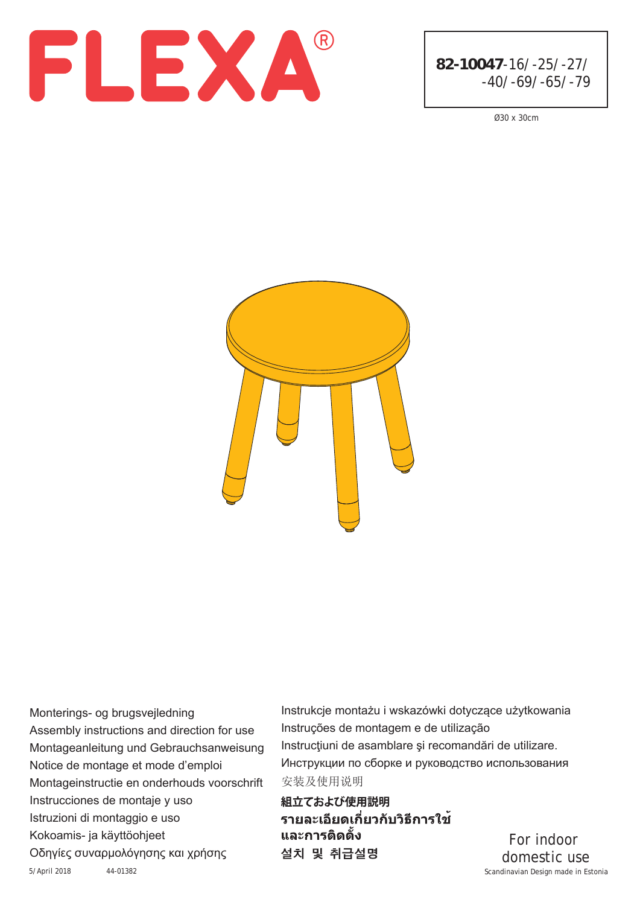



Ø30 x 30cm



5/April 2018 44-01382 Scandinavian Design made in Estonia Monterings- og brugsvejledning Assembly instructions and direction for use Montageanleitung und Gebrauchsanweisung Notice de montage et mode d'emploi Instrucciones de montaje y uso Montageinstructie en onderhouds voorschrift Istruzioni di montaggio e uso Kokoamis- ja käyttöohjeet Οδηγίες συναρμολόγησης και χρήσης

安装及使用说明 Instrukcje montażu i wskazówki dotyczące użytkowania Instruções de montagem e de utilização Instrucţiuni de asamblare şi recomandări de utilizare. Инструкции по сборке и руководство использования

組立ておよび使用説明 รายละเอียดเกี่ยวกับวิธีการใช้ และการติดตั้ง 설치 및 취급설명

For indoor domestic use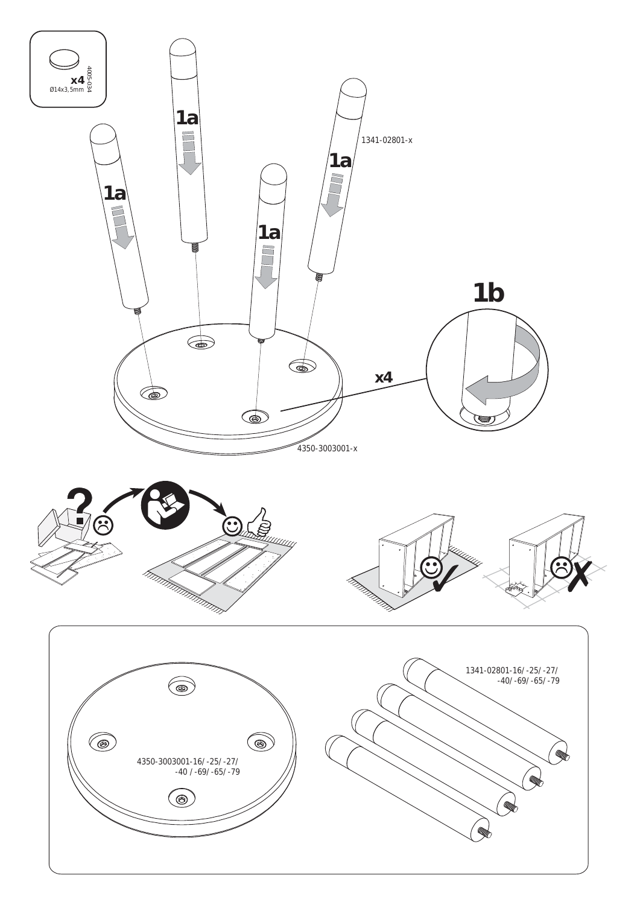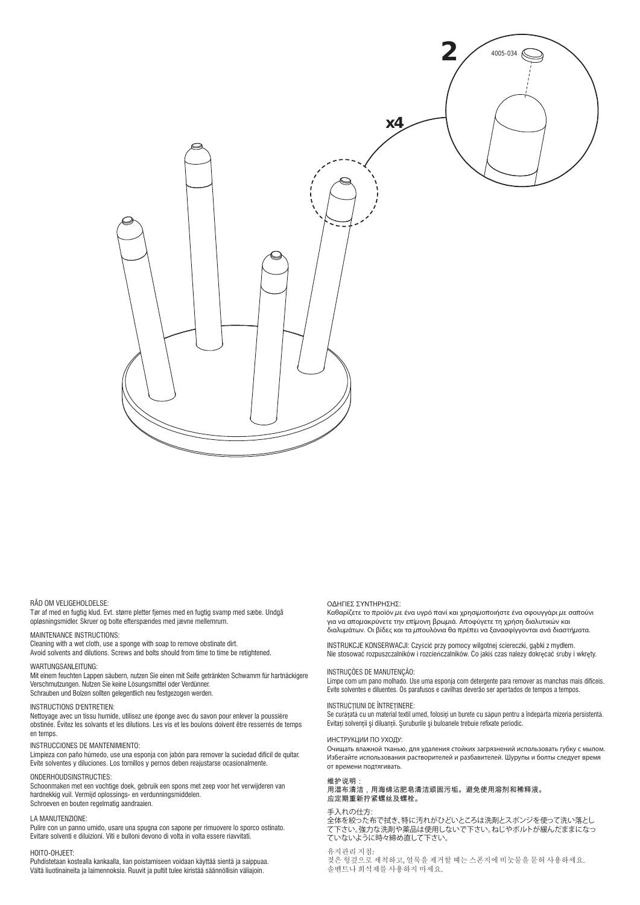

#### RÅD OM VELIGEHOLDELSE:

Tør af med en fugtig klud. Evt. større pletter fjernes med en fugtig svamp med sæbe. Undgå opløsningsmidler. Skruer og bolte efterspændes med jævne mellemrum.

MAINTENANCE INSTRUCTIONS: Cleaning with a wet cloth, use a sponge with soap to remove obstinate dirt. Avoid solvents and dilutions. Screws and bolts should from time to time be retightened.

#### WARTUNGSANLEITUNG:

Mit einem feuchten Lappen säubern, nutzen Sie einen mit Seife getränkten Schwamm für hartnäckigere Verschmutzungen. Nutzen Sie keine Lösungsmittel oder Verdünner. Schrauben und Bolzen sollten gelegentlich neu festgezogen werden.

#### INSTRUCTIONS D'ENTRETIEN:

Nettoyage avec un tissu humide, utilisez une éponge avec du savon pour enlever la poussière obstinée. Évitez les solvants et les dilutions. Les vis et les boulons doivent être resserrés de temps en temps.

#### INSTRUCCIONES DE MANTENIMIENTO:

Limpieza con paño húmedo, use una esponja con jabón para remover la suciedad difícil de quitar. Evite solventes y diluciones. Los tornillos y pernos deben reajustarse ocasionalmente.

#### ONDERHOUDSINSTRUCTIES:

Schoonmaken met een vochtige doek, gebruik een spons met zeep voor het verwijderen van hardnekkig vuil. Vermijd oplossings- en verdunningsmiddelen. Schroeven en bouten regelmatig aandraaien.

#### LA MANUTENZIONE<sup>®</sup>

Pulire con un panno umido, usare una spugna con sapone per rimuovere lo sporco ostinato. Evitare solventi e diluizioni. Viti e bulloni devono di volta in volta essere riavvitati.

#### HOITO-OHJEET:

Puhdistetaan kostealla kankaalla, lian poistamiseen voidaan käyttää sientä ja saippuaa. Vältä liuotinaineita ja laimennoksia. Ruuvit ja pultit tulee kiristää säännöllisin väliajoin.

#### Ο∆ΗΓΙΕΣ ΣΥΝΤΗΡΗΣΗΣ:

Καθαρίζετε το προϊόν με ένα υγρό πανί και χρησιμοποιήστε ένα σφουγγάρι με σαπούνι για να απομακρύνετε την επίμονη βρωμιά. Αποφύγετε τη χρήση διαλυτικών και διαλυμάτων. Οι βίδες και τα μπουλόνια θα πρέπει να ξανασφίγγονται ανά διαστήματα.

INSTRUKCJE KONSERWACJI: Czyścić przy pomocy wilgotnej ściereczki, gąbki z mydłem. Nie stosować rozpuszczalników i rozcieńczalników. Co jakiś czas należy dokręcać śruby i wkręty.

#### INSTRUÇÕES DE MANUTENÇÃO:

Limpe com um pano molhado. Use uma esponja com detergente para remover as manchas mais difíceis. Evite solventes e diluentes. Os parafusos e cavilhas deverão ser apertados de tempos a tempos.

#### INSTRUCŢIUNI DE ÎNTREŢINERE:

Se curătată cu un material textil umed, folositi un burete cu săpun pentru a îndepărta mizeria persistentă. Evitaţi solvenţii şi diluanţii. Şuruburile şi buloanele trebuie refixate periodic.

#### ИНСТРУКЦИИ ПО УХОДУ:

Очищать влажной тканью, для удаления стойких загрязнений использовать губку с мылом. Избегайте использования растворителей и разбавителей. Шурупы и болты следует время от времени подтягивать.

### 维护说明:

用湿布清洁,用海绵沾肥皂清洁顽固污垢。避免使用溶剂和稀释液。 应定期重新拧紧螺丝及螺栓。

#### 手入れの仕方:

全体を絞った布で拭き、特に汚れがひどいところは洗剤とスポンジを使って洗い落とし て下さい。強力な洗剤や薬品は使用しないで下さい。ねじやボルトが緩んだままになっ ていないように時々締め直して下さい。

#### 유지관리 지침:

젖은 헝겊으로 세척하고, 얼룩을 제거할 때는 스폰지에 비눗물을 묻혀 사용하세요. 솔벤트나 희석제를 사용하지 마세요.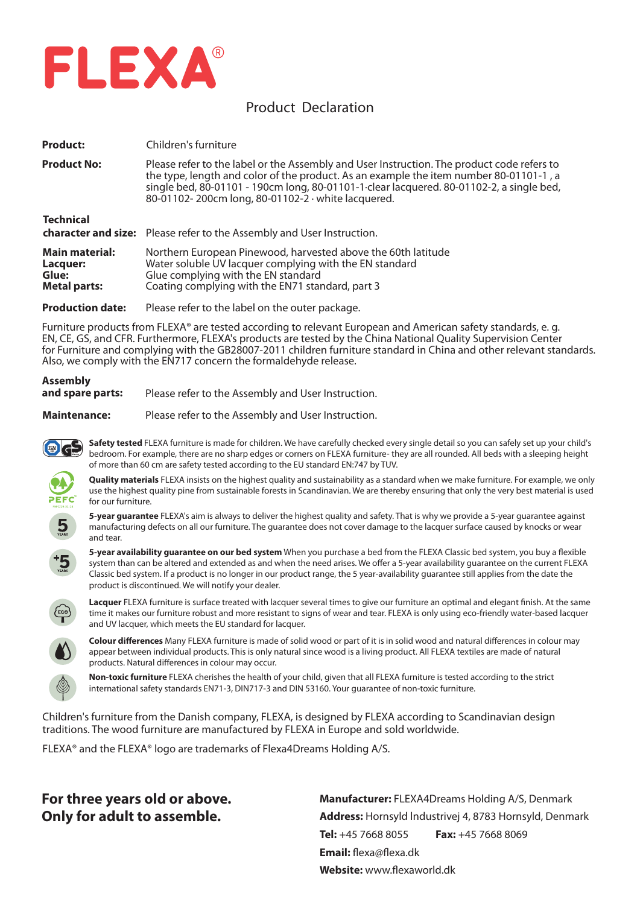

### Product Declaration

| <b>Product:</b>                                                   | Children's furniture                                                                                                                                                                                                                                                                                                                   |
|-------------------------------------------------------------------|----------------------------------------------------------------------------------------------------------------------------------------------------------------------------------------------------------------------------------------------------------------------------------------------------------------------------------------|
| <b>Product No:</b>                                                | Please refer to the label or the Assembly and User Instruction. The product code refers to<br>the type, length and color of the product. As an example the item number 80-01101-1, a<br>single bed, 80-01101 - 190cm long, 80-01101-1 clear lacquered. 80-01102-2, a single bed,<br>80-01102-200cm long, 80-01102-2 · white lacquered. |
| <b>Technical</b>                                                  | <b>character and size:</b> Please refer to the Assembly and User Instruction.                                                                                                                                                                                                                                                          |
| <b>Main material:</b><br>Lacquer:<br>Glue:<br><b>Metal parts:</b> | Northern European Pinewood, harvested above the 60th latitude<br>Water soluble UV lacquer complying with the EN standard<br>Glue complying with the EN standard<br>Coating complying with the EN71 standard, part 3                                                                                                                    |

**Production date:** Please refer to the label on the outer package.

Furniture products from FLEXA® are tested according to relevant European and American safety standards, e. g. EN, CE, GS, and CFR. Furthermore, FLEXA's products are tested by the China National Quality Supervision Center for Furniture and complying with the GB28007-2011 children furniture standard in China and other relevant standards. Also, we comply with the EN717 concern the formaldehyde release.

# **Assembly** and spare parts: Please refer to the Assembly and User Instruction.

**Maintenance:** Please refer to the Assembly and User Instruction.

**Safety tested** FLEXA furniture is made for children. We have carefully checked every single detail so you can safely set up your child's bedroom. For example, there are no sharp edges or corners on FLEXA furniture- they are all rounded. All beds with a sleeping height of more than 60 cm are safety tested according to the EU standard EN:747 by TUV.

**Quality materials** FLEXA insists on the highest quality and sustainability as a standard when we make furniture. For example, we only use the highest quality pine from sustainable forests in Scandinavian. We are thereby ensuring that only the very best material is used for our furniture.



**5-year guarantee** FLEXA's aim is always to deliver the highest quality and safety. That is why we provide a 5-year guarantee against manufacturing defects on all our furniture. The guarantee does not cover damage to the lacquer surface caused by knocks or wear and tear.

**5-year availability guarantee on our bed system** When you purchase a bed from the FLEXA Classic bed system, you buy a flexible system than can be altered and extended as and when the need arises. We offer a 5-year availability guarantee on the current FLEXA Classic bed system. If a product is no longer in our product range, the 5 year-availability guarantee still applies from the date the product is discontinued. We will notify your dealer.



**Lacquer** FLEXA furniture is surface treated with lacquer several times to give our furniture an optimal and elegant finish. At the same time it makes our furniture robust and more resistant to signs of wear and tear. FLEXA is only using eco-friendly water-based lacquer and UV lacquer, which meets the EU standard for lacquer.



**Colour differences** Many FLEXA furniture is made of solid wood or part of it is in solid wood and natural differences in colour may appear between individual products. This is only natural since wood is a living product. All FLEXA textiles are made of natural products. Natural differences in colour may occur.



**Non-toxic furniture** FLEXA cherishes the health of your child, given that all FLEXA furniture is tested according to the strict international safety standards EN71-3, DIN717-3 and DIN 53160. Your guarantee of non-toxic furniture.

Children's furniture from the Danish company, FLEXA, is designed by FLEXA according to Scandinavian design traditions. The wood furniture are manufactured by FLEXA in Europe and sold worldwide.

FLEXA® and the FLEXA® logo are trademarks of Flexa4Dreams Holding A/S.

## **For three years old or above. Only for adult to assemble.**

**Manufacturer:** FLEXA4Dreams Holding A/S, Denmark **Address:** Hornsyld lndustrivej 4, 8783 Hornsyld, Denmark **Tel:** +45 7668 8055 **Fax:** +45 7668 8069 **Email:** flexa@flexa.dk **Website:** www.flexaworld.dk